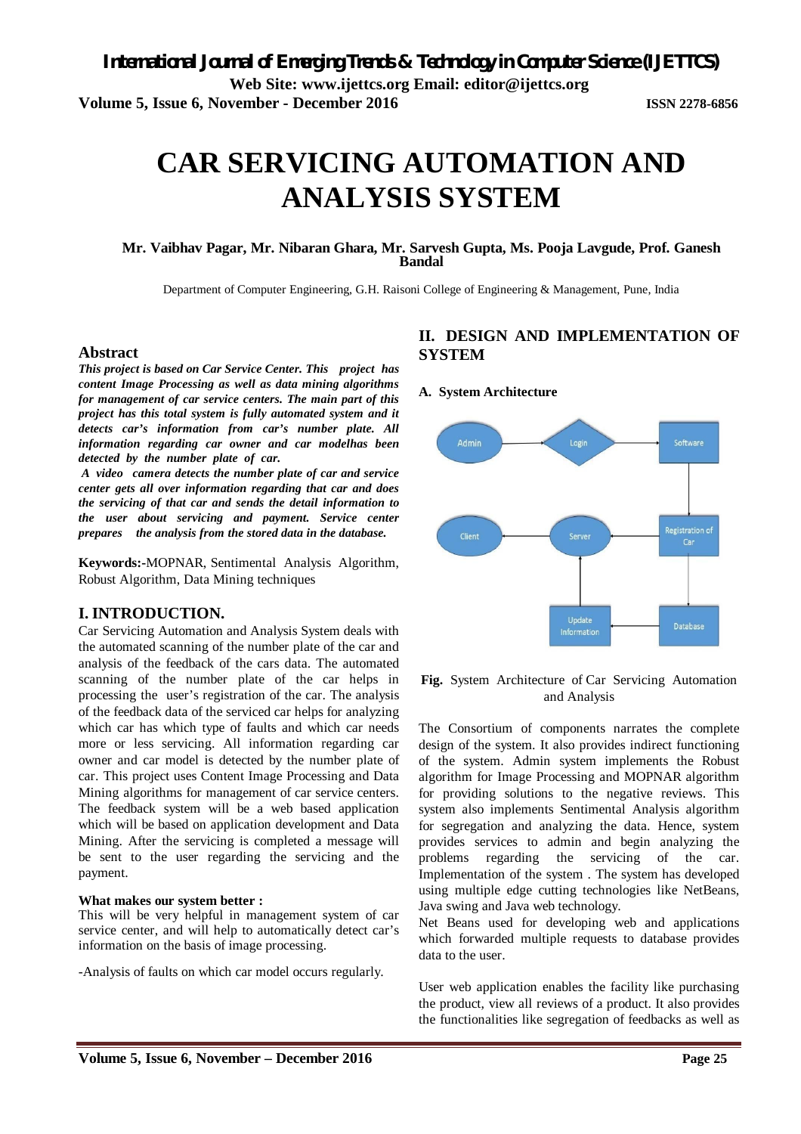# **CAR SERVICING AUTOMATION AND ANALYSIS SYSTEM**

# **Mr. Vaibhav Pagar, Mr. Nibaran Ghara, Mr. Sarvesh Gupta, Ms. Pooja Lavgude, Prof. Ganesh Bandal**

Department of Computer Engineering, G.H. Raisoni College of Engineering & Management, Pune, India

# **Abstract**

*This project is based on Car Service Center. This project has content Image Processing as well as data mining algorithms for management of car service centers. The main part of this project has this total system is fully automated system and it detects car's information from car's number plate. All information regarding car owner and car modelhas been detected by the number plate of car.* 

*A video camera detects the number plate of car and service center gets all over information regarding that car and does the servicing of that car and sends the detail information to the user about servicing and payment. Service center prepares the analysis from the stored data in the database.*

**Keywords:-**MOPNAR, Sentimental Analysis Algorithm, Robust Algorithm, Data Mining techniques

# **I. INTRODUCTION.**

Car Servicing Automation and Analysis System deals with the automated scanning of the number plate of the car and analysis of the feedback of the cars data. The automated scanning of the number plate of the car helps in processing the user's registration of the car. The analysis of the feedback data of the serviced car helps for analyzing which car has which type of faults and which car needs more or less servicing. All information regarding car owner and car model is detected by the number plate of car. This project uses Content Image Processing and Data Mining algorithms for management of car service centers. The feedback system will be a web based application which will be based on application development and Data Mining. After the servicing is completed a message will be sent to the user regarding the servicing and the payment.

#### **What makes our system better :**

This will be very helpful in management system of car service center, and will help to automatically detect car's information on the basis of image processing.

-Analysis of faults on which car model occurs regularly.

# **II. DESIGN AND IMPLEMENTATION OF SYSTEM**

#### **A. System Architecture**



**Fig.** System Architecture of Car Servicing Automation and Analysis

The Consortium of components narrates the complete design of the system. It also provides indirect functioning of the system. Admin system implements the Robust algorithm for Image Processing and MOPNAR algorithm for providing solutions to the negative reviews. This system also implements Sentimental Analysis algorithm for segregation and analyzing the data. Hence, system provides services to admin and begin analyzing the problems regarding the servicing of the car. Implementation of the system . The system has developed using multiple edge cutting technologies like NetBeans, Java swing and Java web technology.

Net Beans used for developing web and applications which forwarded multiple requests to database provides data to the user.

User web application enables the facility like purchasing the product, view all reviews of a product. It also provides the functionalities like segregation of feedbacks as well as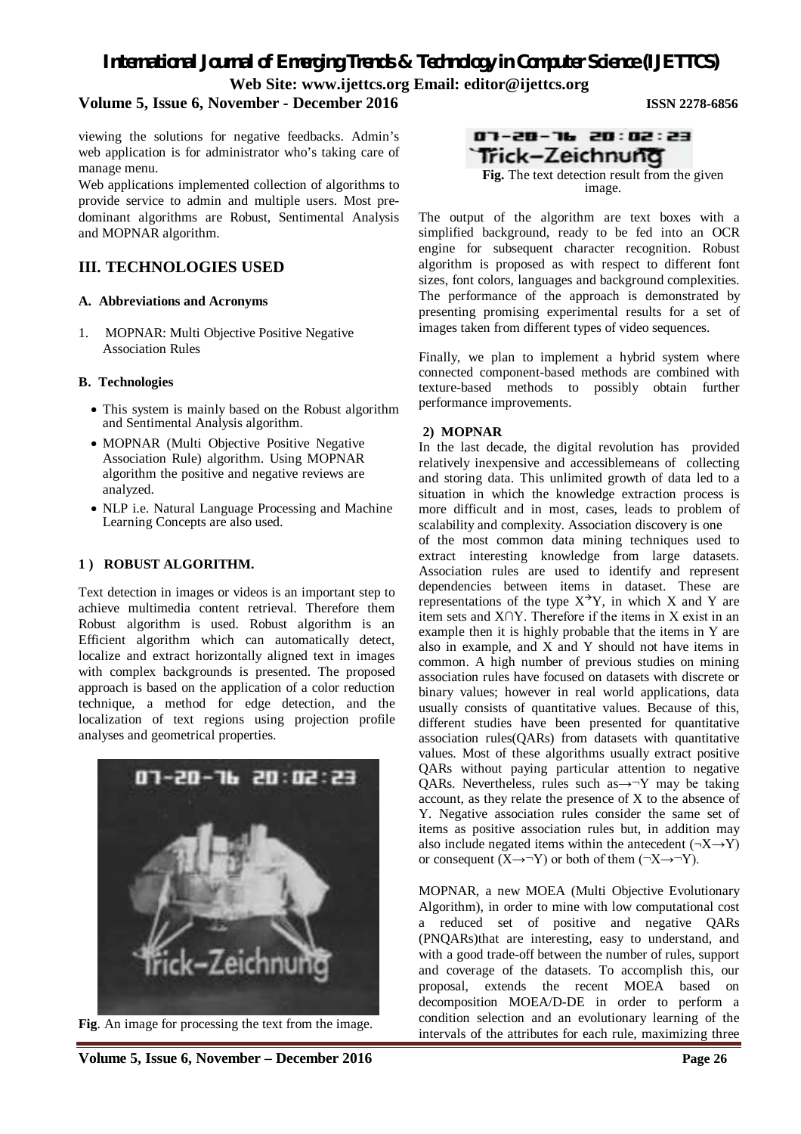*International Journal of Emerging Trends & Technology in Computer Science (IJETTCS)* **Web Site: www.ijettcs.org Email: editor@ijettcs.org** 

# **Volume 5, Issue 6, November - December 2016 ISSN 2278-6856**

viewing the solutions for negative feedbacks. Admin's web application is for administrator who's taking care of manage menu.

Web applications implemented collection of algorithms to provide service to admin and multiple users. Most predominant algorithms are Robust, Sentimental Analysis and MOPNAR algorithm.

# **III. TECHNOLOGIES USED**

## **A. Abbreviations and Acronyms**

1. MOPNAR: Multi Objective Positive Negative Association Rules

## **B. Technologies**

- This system is mainly based on the Robust algorithm and Sentimental Analysis algorithm.
- MOPNAR (Multi Objective Positive Negative Association Rule) algorithm. Using MOPNAR algorithm the positive and negative reviews are analyzed.
- NLP i.e. Natural Language Processing and Machine Learning Concepts are also used.

#### **1 ) ROBUST ALGORITHM.**

Text detection in images or videos is an important step to achieve multimedia content retrieval. Therefore them Robust algorithm is used. Robust algorithm is an Efficient algorithm which can automatically detect, localize and extract horizontally aligned text in images with complex backgrounds is presented. The proposed approach is based on the application of a color reduction technique, a method for edge detection, and the localization of text regions using projection profile analyses and geometrical properties.



**Fig**. An image for processing the text from the image.

The output of the algorithm are text boxes with a simplified background, ready to be fed into an OCR engine for subsequent character recognition. Robust algorithm is proposed as with respect to different font sizes, font colors, languages and background complexities. The performance of the approach is demonstrated by presenting promising experimental results for a set of images taken from different types of video sequences.

Finally, we plan to implement a hybrid system where connected component-based methods are combined with texture-based methods to possibly obtain further performance improvements.

#### **2) MOPNAR**

In the last decade, the digital revolution has provided relatively inexpensive and accessiblemeans of collecting and storing data. This unlimited growth of data led to a situation in which the knowledge extraction process is more difficult and in most, cases, leads to problem of scalability and complexity. Association discovery is one of the most common data mining techniques used to extract interesting knowledge from large datasets. Association rules are used to identify and represent dependencies between items in dataset. These are representations of the type  $X^{\rightarrow}Y$ , in which X and Y are item sets and X∩Y. Therefore if the items in X exist in an example then it is highly probable that the items in Y are also in example, and X and Y should not have items in common. A high number of previous studies on mining association rules have focused on datasets with discrete or binary values; however in real world applications, data usually consists of quantitative values. Because of this, different studies have been presented for quantitative association rules(QARs) from datasets with quantitative values. Most of these algorithms usually extract positive QARs without paying particular attention to negative QARs. Nevertheless, rules such as $\rightarrow$  Y may be taking account, as they relate the presence of X to the absence of Y. Negative association rules consider the same set of items as positive association rules but, in addition may also include negated items within the antecedent  $(\neg X \rightarrow Y)$ or consequent  $(X \rightarrow Y)$  or both of them  $(\neg X \rightarrow \neg Y)$ .

MOPNAR, a new MOEA (Multi Objective Evolutionary Algorithm), in order to mine with low computational cost a reduced set of positive and negative QARs (PNQARs)that are interesting, easy to understand, and with a good trade-off between the number of rules, support and coverage of the datasets. To accomplish this, our proposal, extends the recent MOEA based on decomposition MOEA/D-DE in order to perform a condition selection and an evolutionary learning of the intervals of the attributes for each rule, maximizing three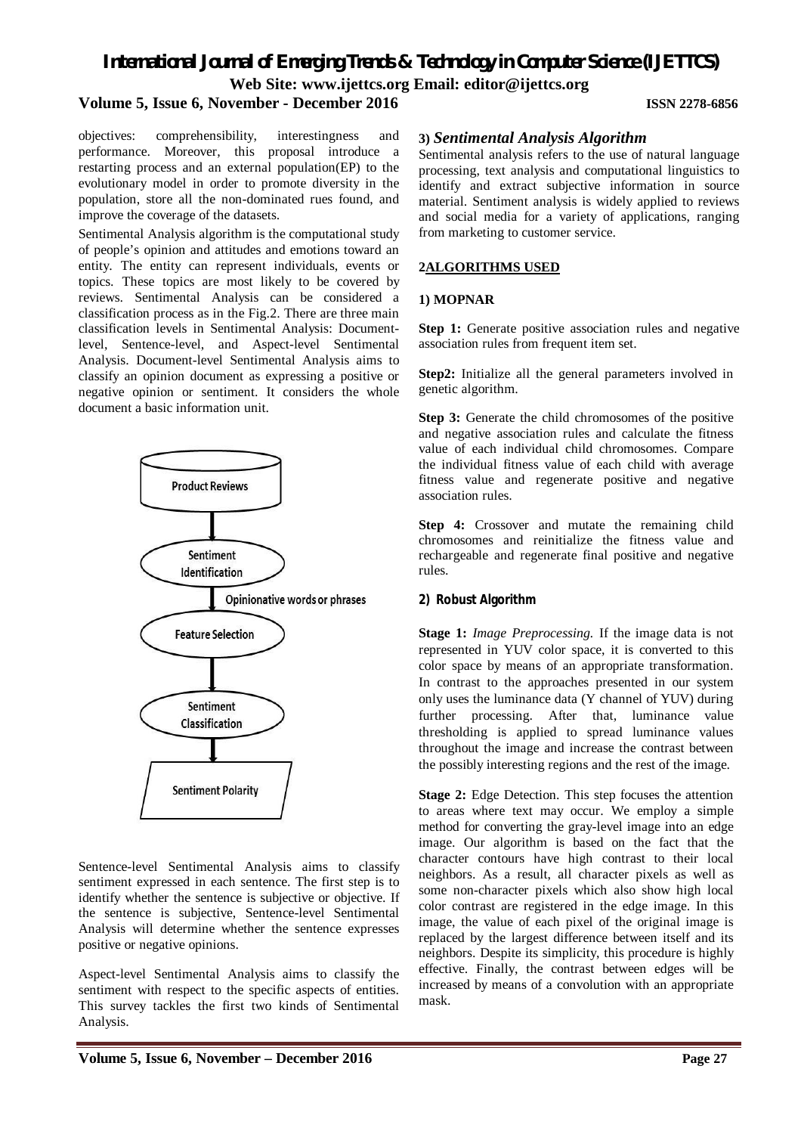# *International Journal of Emerging Trends & Technology in Computer Science (IJETTCS)*

**Web Site: www.ijettcs.org Email: editor@ijettcs.org** 

# **Volume 5, Issue 6, November - December 2016 ISSN 2278-6856**

objectives: comprehensibility, interestingness and performance. Moreover, this proposal introduce a restarting process and an external population(EP) to the evolutionary model in order to promote diversity in the population, store all the non-dominated rues found, and improve the coverage of the datasets.

Sentimental Analysis algorithm is the computational study of people's opinion and attitudes and emotions toward an entity. The entity can represent individuals, events or topics. These topics are most likely to be covered by reviews. Sentimental Analysis can be considered a classification process as in the Fig.2. There are three main classification levels in Sentimental Analysis: Documentlevel, Sentence-level, and Aspect-level Sentimental Analysis. Document-level Sentimental Analysis aims to classify an opinion document as expressing a positive or negative opinion or sentiment. It considers the whole document a basic information unit.



Sentence-level Sentimental Analysis aims to classify sentiment expressed in each sentence. The first step is to identify whether the sentence is subjective or objective. If the sentence is subjective, Sentence-level Sentimental Analysis will determine whether the sentence expresses positive or negative opinions.

Aspect-level Sentimental Analysis aims to classify the sentiment with respect to the specific aspects of entities. This survey tackles the first two kinds of Sentimental Analysis.

## **3)** *Sentimental Analysis Algorithm*

Sentimental analysis refers to the use of natural language processing, text analysis and computational linguistics to identify and extract subjective information in source material. Sentiment analysis is widely applied to reviews and social media for a variety of applications, ranging from marketing to customer service.

#### **2ALGORITHMS USED**

#### **1) MOPNAR**

**Step 1:** Generate positive association rules and negative association rules from frequent item set.

**Step2:** Initialize all the general parameters involved in genetic algorithm.

**Step 3:** Generate the child chromosomes of the positive and negative association rules and calculate the fitness value of each individual child chromosomes. Compare the individual fitness value of each child with average fitness value and regenerate positive and negative association rules.

**Step 4:** Crossover and mutate the remaining child chromosomes and reinitialize the fitness value and rechargeable and regenerate final positive and negative rules.

# **2) Robust Algorithm**

**Stage 1:** *Image Preprocessing.* If the image data is not represented in YUV color space, it is converted to this color space by means of an appropriate transformation. In contrast to the approaches presented in our system only uses the luminance data (Y channel of YUV) during further processing. After that, luminance value thresholding is applied to spread luminance values throughout the image and increase the contrast between the possibly interesting regions and the rest of the image.

**Stage 2:** Edge Detection. This step focuses the attention to areas where text may occur. We employ a simple method for converting the gray-level image into an edge image. Our algorithm is based on the fact that the character contours have high contrast to their local neighbors. As a result, all character pixels as well as some non-character pixels which also show high local color contrast are registered in the edge image. In this image, the value of each pixel of the original image is replaced by the largest difference between itself and its neighbors. Despite its simplicity, this procedure is highly effective. Finally, the contrast between edges will be increased by means of a convolution with an appropriate mask.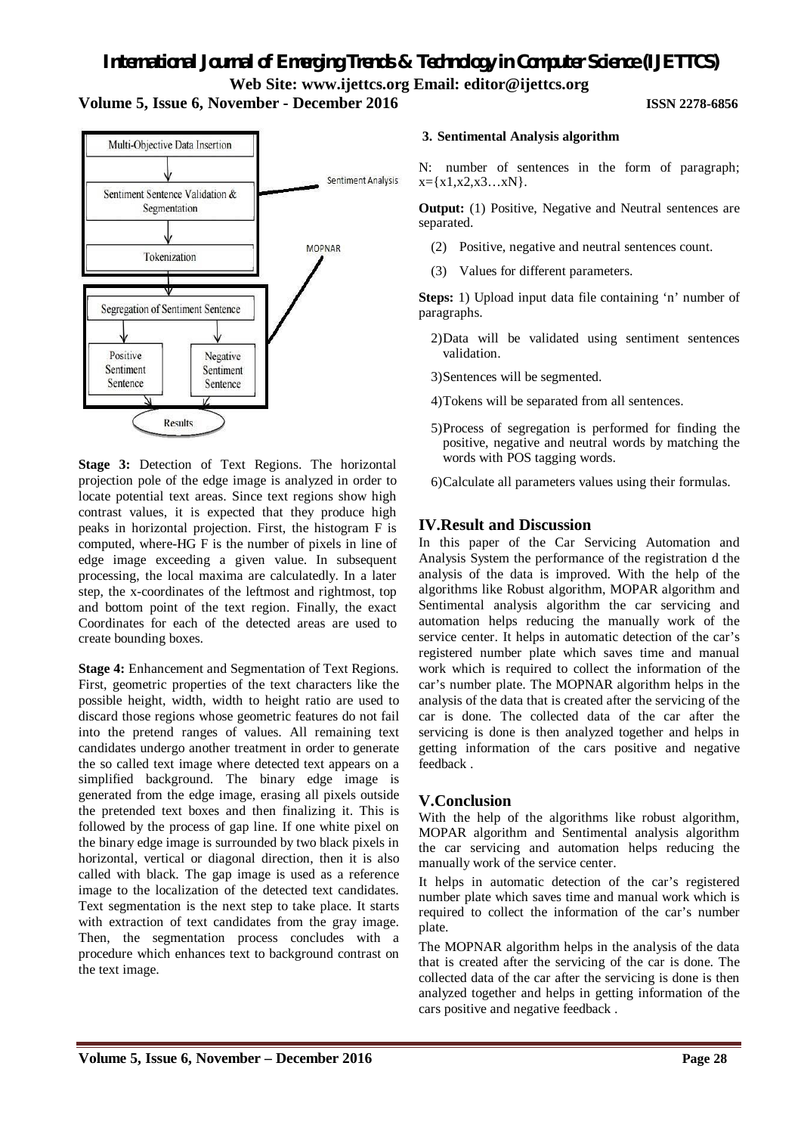# **Volume 5, Issue 6, November - December 2016 ISSN 2278-6856**



**Stage 3:** Detection of Text Regions. The horizontal projection pole of the edge image is analyzed in order to locate potential text areas. Since text regions show high contrast values, it is expected that they produce high peaks in horizontal projection. First, the histogram F is computed, where-HG F is the number of pixels in line of edge image exceeding a given value. In subsequent processing, the local maxima are calculatedly. In a later step, the x-coordinates of the leftmost and rightmost, top and bottom point of the text region. Finally, the exact Coordinates for each of the detected areas are used to create bounding boxes.

**Stage 4:** Enhancement and Segmentation of Text Regions. First, geometric properties of the text characters like the possible height, width, width to height ratio are used to discard those regions whose geometric features do not fail into the pretend ranges of values. All remaining text candidates undergo another treatment in order to generate the so called text image where detected text appears on a simplified background. The binary edge image is generated from the edge image, erasing all pixels outside the pretended text boxes and then finalizing it. This is followed by the process of gap line. If one white pixel on the binary edge image is surrounded by two black pixels in horizontal, vertical or diagonal direction, then it is also called with black. The gap image is used as a reference image to the localization of the detected text candidates. Text segmentation is the next step to take place. It starts with extraction of text candidates from the gray image. Then, the segmentation process concludes with a procedure which enhances text to background contrast on the text image.

# **3. Sentimental Analysis algorithm**

N: number of sentences in the form of paragraph;  $x = \{x1, x2, x3...xN\}.$ 

**Output:** (1) Positive, Negative and Neutral sentences are separated.

- (2) Positive, negative and neutral sentences count.
- (3) Values for different parameters.

**Steps:** 1) Upload input data file containing 'n' number of paragraphs.

- 2)Data will be validated using sentiment sentences validation.
- 3)Sentences will be segmented.
- 4)Tokens will be separated from all sentences.
- 5)Process of segregation is performed for finding the positive, negative and neutral words by matching the words with POS tagging words.
- 6)Calculate all parameters values using their formulas.

# **IV.Result and Discussion**

In this paper of the Car Servicing Automation and Analysis System the performance of the registration d the analysis of the data is improved. With the help of the algorithms like Robust algorithm, MOPAR algorithm and Sentimental analysis algorithm the car servicing and automation helps reducing the manually work of the service center. It helps in automatic detection of the car's registered number plate which saves time and manual work which is required to collect the information of the car's number plate. The MOPNAR algorithm helps in the analysis of the data that is created after the servicing of the car is done. The collected data of the car after the servicing is done is then analyzed together and helps in getting information of the cars positive and negative feedback .

# **V.Conclusion**

With the help of the algorithms like robust algorithm, MOPAR algorithm and Sentimental analysis algorithm the car servicing and automation helps reducing the manually work of the service center.

It helps in automatic detection of the car's registered number plate which saves time and manual work which is required to collect the information of the car's number plate.

The MOPNAR algorithm helps in the analysis of the data that is created after the servicing of the car is done. The collected data of the car after the servicing is done is then analyzed together and helps in getting information of the cars positive and negative feedback .